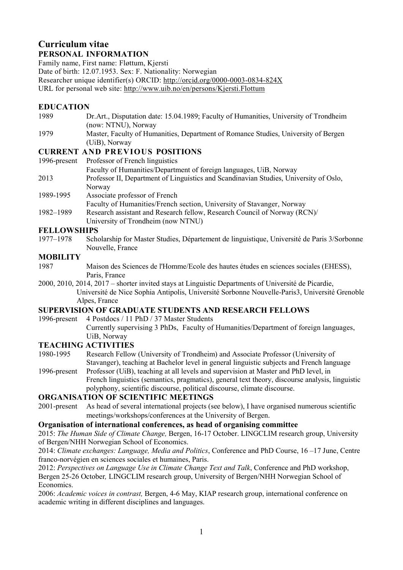## Curriculum vitae PERSONAL INFORMATION

Family name, First name: Fløttum, Kjersti Date of birth: 12.07.1953. Sex: F. Nationality: Norwegian Researcher unique identifier(s) ORCID: http://orcid.org/0000-0003-0834-824X URL for personal web site: http://www.uib.no/en/persons/Kjersti.Flottum

## EDUCATION

- 1989 Dr.Art., Disputation date: 15.04.1989; Faculty of Humanities, University of Trondheim (now: NTNU), Norway
- 1979 Master, Faculty of Humanities, Department of Romance Studies, University of Bergen (UiB), Norway

## CURRENT AND PREVIOUS POSITIONS

- 1996-present Professor of French linguistics Faculty of Humanities/Department of foreign languages, UiB, Norway 2013 Professor II, Department of Linguistics and Scandinavian Studies, University of Oslo, Norway 1989-1995 Associate professor of French Faculty of Humanities/French section, University of Stavanger, Norway 1982–1989 Research assistant and Research fellow, Research Council of Norway (RCN)/
	- University of Trondheim (now NTNU)

## FELLOWSHIPS

1977–1978 Scholarship for Master Studies, Département de linguistique, Université de Paris 3/Sorbonne Nouvelle, France

## **MOBILITY**

- 1987 Maison des Sciences de l'Homme/Ecole des hautes études en sciences sociales (EHESS), Paris, France
- 2000, 2010, 2014, 2017 shorter invited stays at Linguistic Departments of Université de Picardie, Université de Nice Sophia Antipolis, Université Sorbonne Nouvelle-Paris3, Université Grenoble Alpes, France

## SUPERVISION OF GRADUATE STUDENTS AND RESEARCH FELLOWS

- 1996-present 4 Postdocs / 11 PhD / 37 Master Students
	- Currently supervising 3 PhDs, Faculty of Humanities/Department of foreign languages, UiB, Norway

## TEACHING ACTIVITIES

- 1980-1995 Research Fellow (University of Trondheim) and Associate Professor (University of Stavanger), teaching at Bachelor level in general linguistic subjects and French language
- 1996-present Professor (UiB), teaching at all levels and supervision at Master and PhD level, in French linguistics (semantics, pragmatics), general text theory, discourse analysis, linguistic polyphony, scientific discourse, political discourse, climate discourse.

## ORGANISATION OF SCIENTIFIC MEETINGS

2001-present As head of several international projects (see below), I have organised numerous scientific meetings/workshops/conferences at the University of Bergen.

## Organisation of international conferences, as head of organising committee

2015: The Human Side of Climate Change, Bergen, 16-17 October. LINGCLIM research group, University of Bergen/NHH Norwegian School of Economics.

2014: Climate exchanges: Language, Media and Politics, Conference and PhD Course, 16 –17 June, Centre franco-norvégien en sciences sociales et humaines, Paris.

2012: Perspectives on Language Use in Climate Change Text and Talk, Conference and PhD workshop, Bergen 25-26 October, LINGCLIM research group, University of Bergen/NHH Norwegian School of Economics.

2006: Academic voices in contrast, Bergen, 4-6 May, KIAP research group, international conference on academic writing in different disciplines and languages.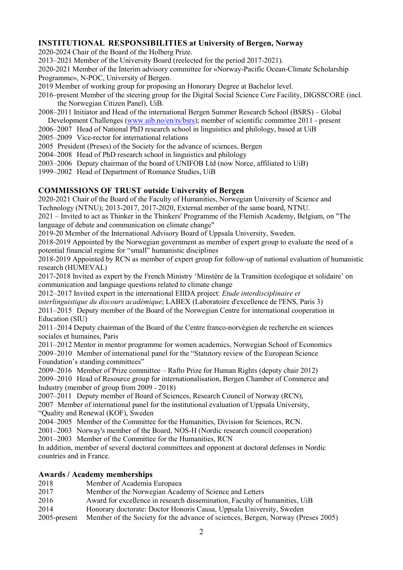## INSTITUTIONAL RESPONSIBILITIES at University of Bergen, Norway

2020-2024 Chair of the Board of the Holberg Prize.

2013–2021 Member of the University Board (reelected for the period 2017-2021).

2020-2021 Member of the Interim advisory committee for «Norway-Pacific Ocean-Climate Scholarship Programme», N-POC, University of Bergen.

- 2019 Member of working group for proposing an Honorary Degree at Bachelor level.
- 2016–present Member of the steering group for the Digital Social Science Core Facility, DIGSSCORE (incl. the Norwegian Citizen Panel), UiB.
- 2008–2011 Initiator and Head of the international Bergen Summer Research School (BSRS) Global Development Challenges (www.uib.no/en/rs/bsrs); member of scientific committee 2011 - present
- 2006–2007 Head of National PhD research school in linguistics and philology, based at UiB
- 2005–2009 Vice-rector for international relations
- 2005 President (Preses) of the Society for the advance of sciences, Bergen
- 2004–2008 Head of PhD research school in linguistics and philology
- 2003–2006 Deputy chairman of the board of UNIFOB Ltd (now Norce, affiliated to UiB)
- 1999–2002 Head of Department of Romance Studies, UiB

## COMMISSIONS OF TRUST outside University of Bergen

2020-2021 Chair of the Board of the Faculty of Humanities, Norwegian University of Science and Technology (NTNU); 2013-2017, 2017-2020, External member of the same board, NTNU.

2021 – Invited to act as Thinker in the Thinkers' Programme of the Flemish Academy, Belgium, on "The language of debate and communication on climate change"

2019-20 Member of the International Advisory Board of Uppsala University, Sweden.

2018-2019 Appointed by the Norwegian government as member of expert group to evaluate the need of a potential financial regime for "small" humanistic disciplines

2018-2019 Appointed by RCN as member of expert group for follow-up of national evaluation of humanistic research (HUMEVAL)

2017-2018 Invited as expert by the French Ministry 'Minstère de la Transition écologique et solidaire' on communication and language questions related to climate change

2012–2017 Invited expert in the international EIIDA project: Etude interdisciplinaire et

interlinguistique du discours académique: LABEX (Laboratoire d'excellence de l'ENS, Paris 3)

2011–2015 Deputy member of the Board of the Norwegian Centre for international cooperation in Education (SIU)

2011–2014 Deputy chairman of the Board of the Centre franco-norvégien de recherche en sciences sociales et humaines, Paris

2011–2012 Mentor in mentor programme for women academics, Norwegian School of Economics 2009–2010 Member of international panel for the "Statutory review of the European Science Foundation's standing committees"

2009–2016 Member of Prize committee – Rafto Prize for Human Rights (deputy chair 2012) 2009–2010 Head of Resource group for internationalisation, Bergen Chamber of Commerce and Industry (member of group from 2009 - 2018)

2007–2011 Deputy member of Board of Sciences, Research Council of Norway (RCN),

2007 Member of international panel for the institutional evaluation of Uppsala University, "Quality and Renewal (KOF), Sweden

2004–2005 Member of the Committee for the Humanities, Division for Sciences, RCN.

2001–2003 Norway's member of the Board, NOS-H (Nordic research council cooperation)

2001–2003 Member of the Committee for the Humanities, RCN

In addition, member of several doctoral committees and opponent at doctoral defenses in Nordic countries and in France.

#### Awards / Academy memberships

- 2018 Member of Academia Europaea
- 2017 Member of the Norwegian Academy of Science and Letters
- 2016 Award for excellence in research dissemination, Faculty of humanities, UiB
- 2014 Honorary doctorate: Doctor Honoris Causa, Uppsala University, Sweden
- 2005-present Member of the Society for the advance of sciences, Bergen, Norway (Preses 2005)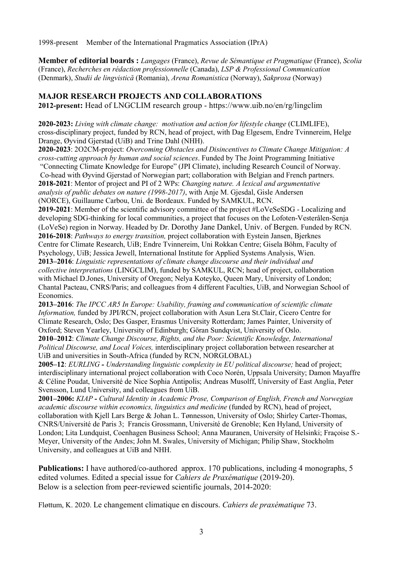1998-present Member of the International Pragmatics Association (IPrA)

Member of editorial boards : Langages (France), Revue de Sémantique et Pragmatique (France), Scolia (France), Recherches en rédaction professionnelle (Canada), LSP & Professional Communication (Denmark), Studii de lingvistică (Romania), Arena Romanistica (Norway), Sakprosa (Norway)

## MAJOR RESEARCH PROJECTS AND COLLABORATIONS

2012-present: Head of LNGCLIM research group - https://www.uib.no/en/rg/lingclim

2020-2023: Living with climate change: motivation and action for lifestyle change (CLIMLIFE), cross-disciplinary project, funded by RCN, head of project, with Dag Elgesem, Endre Tvinnereim, Helge Drange, Øyvind Gjerstad (UiB) and Trine Dahl (NHH).

2020-2023: 2O2CM-project: Overcoming Obstacles and Disincentives to Climate Change Mitigation: A cross-cutting approach by human and social sciences. Funded by The Joint Programming Initiative

 "Connecting Climate Knowledge for Europe" (JPI Climate), including Research Council of Norway. Co-head with Øyvind Gjerstad of Norwegian part; collaboration with Belgian and French partners. 2018-2021: Mentor of project and PI of 2 WPs: Changing nature. A lexical and argumentative analysis of public debates on nature (1998-2017), with Anje M. Gjesdal, Gisle Andersen (NORCE), Guillaume Carbou, Uni. de Bordeaux. Funded by SAMKUL, RCN.

2019-2021: Member of the scientific advisory committee of the project #LoVeSeSDG - Localizing and developing SDG-thinking for local communities, a project that focuses on the Lofoten-Vesterålen-Senja (LoVeSe) region in Norway. Headed by Dr. Dorothy Jane Dankel, Univ. of Bergen. Funded by RCN. 2016-2018: Pathways to energy transition, project collaboration with Eystein Jansen, Bjerknes

Centre for Climate Research, UiB; Endre Tvinnereim, Uni Rokkan Centre; Gisela Böhm, Faculty of Psychology, UiB; Jessica Jewell, International Institute for Applied Systems Analysis, Wien.

2013–2016: Linguistic representations of climate change discourse and their individual and collective interpretations (LINGCLIM), funded by SAMKUL, RCN; head of project, collaboration with Michael D.Jones, University of Oregon; Nelya Koteyko, Queen Mary, University of London; Chantal Pacteau, CNRS/Paris; and colleagues from 4 different Faculties, UiB, and Norwegian School of Economics.

2013–2016: The IPCC AR5 In Europe: Usability, framing and communication of scientific climate Information, funded by JPI/RCN, project collaboration with Asun Lera St.Clair, Cicero Centre for Climate Research, Oslo; Des Gasper, Erasmus University Rotterdam; James Painter, University of Oxford; Steven Yearley, University of Edinburgh; Göran Sundqvist, University of Oslo.

2010–2012: Climate Change Discourse, Rights, and the Poor: Scientific Knowledge, International Political Discourse, and Local Voices, interdisciplinary project collaboration between researcher at UiB and universities in South-Africa (funded by RCN, NORGLOBAL)

2005–12: EURLING - Understanding linguistic complexity in EU political discourse; head of project; interdisciplinary international project collaboration with Coco Norén, Uppsala University; Damon Mayaffre & Céline Poudat, Université de Nice Sophia Antipolis; Andreas Musolff, University of East Anglia, Peter Svensson, Lund University, and colleagues from UiB.

2001–2006: KIAP - Cultural Identity in Academic Prose, Comparison of English, French and Norwegian academic discourse within economics, linguistics and medicine (funded by RCN), head of project, collaboration with Kjell Lars Berge & Johan L. Tønnesson, University of Oslo; Shirley Carter-Thomas, CNRS/Université de Paris 3; Francis Grossmann, Université de Grenoble; Ken Hyland, University of London; Lita Lundquist, Coenhagen Business School; Anna Mauranen, University of Helsinki; Fraçoise S.- Meyer, University of the Andes; John M. Swales, University of Michigan; Philip Shaw, Stockholm University, and colleagues at UiB and NHH.

Publications: I have authored/co-authored approx. 170 publications, including 4 monographs, 5 edited volumes. Edited a special issue for Cahiers de Praxématique (2019-20). Below is a selection from peer-reviewed scientific journals, 2014-2020:

Fløttum, K. 2020. Le changement climatique en discours. Cahiers de praxématique 73.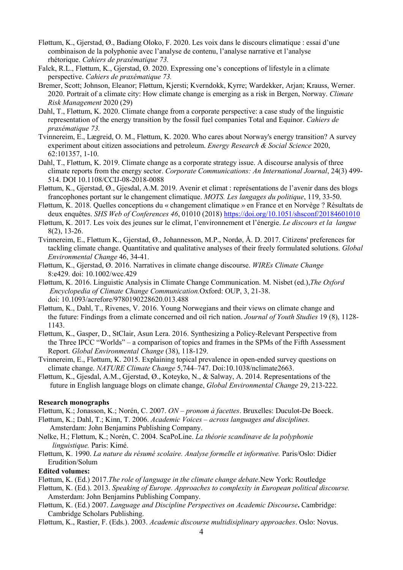- Fløttum, K., Gjerstad, Ø., Badiang Oloko, F. 2020. Les voix dans le discours climatique : essai d'une combinaison de la polyphonie avec l'analyse de contenu, l'analyse narrative et l'analyse rhétorique. Cahiers de praxématique 73.
- Falck, R.L., Fløttum, K., Gjerstad, Ø. 2020. Expressing one's conceptions of lifestyle in a climate perspective. Cahiers de praxématique 73.
- Bremer, Scott; Johnson, Eleanor; Fløttum, Kjersti; Kverndokk, Kyrre; Wardekker, Arjan; Krauss, Werner. 2020. Portrait of a climate city: How climate change is emerging as a risk in Bergen, Norway. Climate Risk Management 2020 (29)
- Dahl, T., Fløttum, K. 2020. Climate change from a corporate perspective: a case study of the linguistic representation of the energy transition by the fossil fuel companies Total and Equinor. Cahiers de praxématique 73.
- Tvinnereim, E., Lægreid, O. M., Fløttum, K. 2020. Who cares about Norway's energy transition? A survey experiment about citizen associations and petroleum. Energy Research & Social Science 2020, 62:101357, 1-10.
- Dahl, T., Fløttum, K. 2019. Climate change as a corporate strategy issue. A discourse analysis of three climate reports from the energy sector. Corporate Communications: An International Journal, 24(3) 499- 514. DOI 10.1108/CCIJ-08-2018-0088
- Fløttum, K., Gjerstad, Ø., Gjesdal, A.M. 2019. Avenir et climat : représentations de l'avenir dans des blogs francophones portant sur le changement climatique. MOTS. Les langages du politique, 119, 33-50.
- Fløttum, K. 2018. Quelles conceptions du « changement climatique » en France et en Norvège ? Résultats de deux enquêtes. SHS Web of Conferences 46, 01010 (2018) https://doi.org/10.1051/shsconf/20184601010
- Fløttum, K. 2017. Les voix des jeunes sur le climat, l'environnement et l'énergie. Le discours et la langue 8(2), 13-26.
- Tvinnereim, E., Fløttum K., Gjerstad, Ø., Johannesson, M.P., Nordø, Å. D. 2017. Citizens' preferences for tackling climate change. Quantitative and qualitative analyses of their freely formulated solutions. *Global* Environmental Change 46, 34-41.
- Fløttum, K., Gjerstad, Ø. 2016. Narratives in climate change discourse. WIREs Climate Change 8:e429. doi: 10.1002/wcc.429
- Fløttum, K. 2016. Linguistic Analysis in Climate Change Communication. M. Nisbet (ed.),The Oxford Encyclopedia of Climate Change Communication.Oxford: OUP, 3, 21-38. doi: 10.1093/acrefore/9780190228620.013.488
- Fløttum, K., Dahl, T., Rivenes, V. 2016. Young Norwegians and their views on climate change and the future: Findings from a climate concerned and oil rich nation. Journal of Youth Studies 19 (8), 1128- 1143.
- Fløttum, K., Gasper, D., StClair, Asun Lera. 2016. Synthesizing a Policy-Relevant Perspective from the Three IPCC "Worlds" – a comparison of topics and frames in the SPMs of the Fifth Assessment Report. Global Environmental Change (38), 118-129.
- Tvinnereim, E., Fløttum, K. 2015. Explaining topical prevalence in open-ended survey questions on climate change. NATURE Climate Change 5,744–747. Doi:10.1038/nclimate2663.
- Fløttum, K., Gjesdal, A.M., Gjerstad, Ø., Koteyko, N., & Salway, A. 2014. Representations of the future in English language blogs on climate change, Global Environmental Change 29, 213-222.

#### Research monographs

Fløttum, K.; Jonasson, K.; Norén, C. 2007. ON – pronom à facettes. Bruxelles: Duculot-De Boeck.

- Fløttum, K.; Dahl, T.; Kinn, T. 2006. Academic Voices across languages and disciplines. Amsterdam: John Benjamins Publishing Company.
- Nølke, H.; Fløttum, K.; Norén, C. 2004. ScaPoLine. La théorie scandinave de la polyphonie linguistique. Paris: Kimé.
- Fløttum, K. 1990. La nature du résumé scolaire. Analyse formelle et informative. Paris/Oslo: Didier Erudition/Solum

#### Edited volumes:

Fløttum, K. (Ed.) 2017.The role of language in the climate change debate.New York: Routledge

Fløttum, K. (Ed.). 2013. Speaking of Europe. Approaches to complexity in European political discourse. Amsterdam: John Benjamins Publishing Company.

- Fløttum, K. (Ed.) 2007. Language and Discipline Perspectives on Academic Discourse. Cambridge: Cambridge Scholars Publishing.
- Fløttum, K., Rastier, F. (Eds.). 2003. Academic discourse multidisiplinary approaches. Oslo: Novus.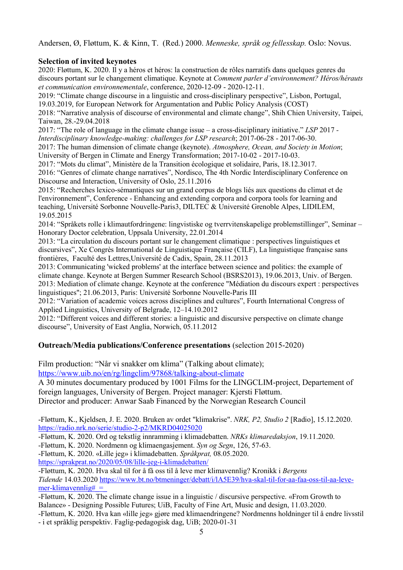Andersen, Ø, Fløttum, K. & Kinn, T. (Red.) 2000. Menneske, språk og fellesskap. Oslo: Novus.

## Selection of invited keynotes

2020: Fløttum, K. 2020. Il y a héros et héros: la construction de rôles narratifs dans quelques genres du discours portant sur le changement climatique. Keynote at Comment parler d'environnement? Héros/hérauts et communication environnementale, conference, 2020-12-09 - 2020-12-11.

2019: "Climate change discourse in a linguistic and cross-disciplinary perspective", Lisbon, Portugal, 19.03.2019, for European Network for Argumentation and Public Policy Analysis (COST)

2018: "Narrative analysis of discourse of environmental and climate change", Shih Chien University, Taipei, Taiwan, 28.-29.04.2018

2017: "The role of language in the climate change issue – a cross-disciplinary initiative." LSP 2017 - Interdisciplinary knowledge-making: challenges for LSP research; 2017-06-28 - 2017-06-30.

2017: The human dimension of climate change (keynote). Atmosphere, Ocean, and Society in Motion; University of Bergen in Climate and Energy Transformation; 2017-10-02 - 2017-10-03.

2017: "Mots du climat", Ministère de la Transition écologique et solidaire, Paris, 18.12.3017.

2016: "Genres of climate change narratives", Nordisco, The 4th Nordic Interdisciplinary Conference on Discourse and Interaction, University of Oslo, 25.11.2016

2015: "Recherches lexico-sémantiques sur un grand corpus de blogs liés aux questions du climat et de l'environnement", Conference - Enhancing and extending corpora and corpora tools for learning and teaching, Université Sorbonne Nouvelle-Paris3, DILTEC & Université Grenoble Alpes, LIDILEM, 19.05.2015

2014: "Språkets rolle i klimautfordringene: lingvistiske og tverrvitenskapelige problemstillinger", Seminar – Honorary Doctor celebration, Uppsala University, 22.01.2014

2013: "La circulation du discours portant sur le changement climatique : perspectives linguistiques et discursives", Xe Congrès International de Linguistique Française (CILF), La linguistique française sans frontières, Faculté des Lettres,Université de Cadix, Spain, 28.11.2013

2013: Communicating 'wicked problems' at the interface between science and politics: the example of climate change. Keynote at Bergen Summer Research School (BSRS2013), 19.06.2013, Univ. of Bergen. 2013: Mediation of climate change. Keynote at the conference "Médiation du discours expert : perspectives linguistiques"; 21.06.2013, Paris: Université Sorbonne Nouvelle-Paris III

2012: "Variation of academic voices across disciplines and cultures", Fourth International Congress of Applied Linguistics, University of Belgrade, 12–14.10.2012

2012: "Different voices and different stories: a linguistic and discursive perspective on climate change discourse", University of East Anglia, Norwich, 05.11.2012

# Outreach/Media publications/Conference presentations (selection 2015-2020)

Film production: "Når vi snakker om klima" (Talking about climate);

https://www.uib.no/en/rg/lingclim/97868/talking-about-climate

A 30 minutes documentary produced by 1001 Films for the LINGCLIM-project, Departement of foreign languages, University of Bergen. Project manager: Kjersti Fløttum.

Director and producer: Anwar Saab Financed by the Norwegian Research Council

-Fløttum, K., Kjeldsen, J. E. 2020. Bruken av ordet "klimakrise". NRK, P2, Studio 2 [Radio], 15.12.2020. https://radio.nrk.no/serie/studio-2-p2/MKRD04025020

-Fløttum, K. 2020. Ord og tekstlig innramming i klimadebatten. NRKs klimaredaksjon, 19.11.2020.

-Fløttum, K. 2020. Nordmenn og klimaengasjement. Syn og Segn, 126, 57-63.

-Fløttum, K. 2020. «Lille jeg» i klimadebatten. Språkprat, 08.05.2020.

https://sprakprat.no/2020/05/08/lille-jeg-i-klimadebatten/

-Fløttum, K. 2020. Hva skal til for å få oss til å leve mer klimavennlig? Kronikk i Bergens Tidende 14.03.2020 https://www.bt.no/btmeninger/debatt/i/lA5E39/hva-skal-til-for-aa-faa-oss-til-aa-levemer-klimavennlig# $=$ 

- -Fløttum, K. 2020. The climate change issue in a linguistic / discursive perspective. «From Growth to Balance» - Designing Possible Futures; UiB, Faculty of Fine Art, Music and design, 11.03.2020.
- -Fløttum, K. 2020. Hva kan «lille jeg» gjøre med klimaendringene? Nordmenns holdninger til å endre livsstil - i et språklig perspektiv. Faglig-pedagogisk dag, UiB; 2020-01-31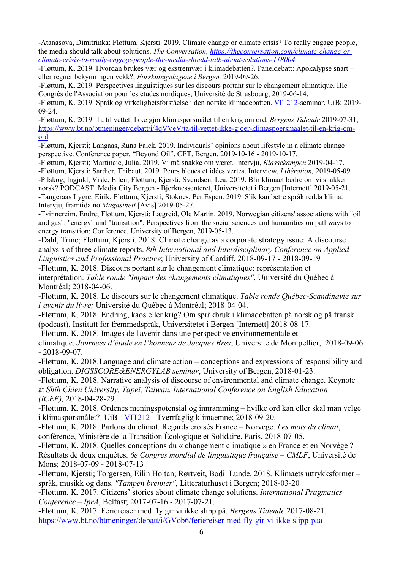-Atanasova, Dimitrinka; Fløttum, Kjersti. 2019. Climate change or climate crisis? To really engage people, the media should talk about solutions. The Conversation, https://theconversation.com/climate-change-orclimate-crisis-to-really-engage-people-the-media-should-talk-about-solutions-118004

-Fløttum, K. 2019. Hvordan brukes vær og ekstremvær i klimadebatten?. Paneldebatt: Apokalypse snart – eller regner bekymringen vekk?; Forskningsdagene i Bergen, 2019-09-26.

-Fløttum, K. 2019. Perspectives linguistiques sur les discours portant sur le changement climatique. IIIe Congrès de l'Association pour les études nordiques; Université de Strasbourg, 2019-06-14.

-Fløttum, K. 2019. Språk og virkelighetsforståelse i den norske klimadebatten. VIT212-seminar, UiB; 2019- 09-24.

-Fløttum, K. 2019. Ta til vettet. Ikke gjør klimaspørsmålet til en krig om ord. Bergens Tidende 2019-07-31, https://www.bt.no/btmeninger/debatt/i/4qVVeV/ta-til-vettet-ikke-gjoer-klimaspoersmaalet-til-en-krig-omord

-Fløttum, Kjersti; Langaas, Runa Falck. 2019. Individuals' opinions about lifestyle in a climate change perspective. Conference paper, "Beyond Oil", CET, Bergen, 2019-10-16 - 2019-10-17.

-Fløttum, Kjersti; Martincic, Julia. 2019. Vi må snakke om været. Intervju, Klassekampen 2019-04-17. -Fløttum, Kjersti; Sardier, Thibaut. 2019. Peurs bleues et idées vertes. Interview, Libération, 2019-05-09. -Pilskog, Ingjald; Viste, Ellen; Fløttum, Kjersti; Svendsen, Lea. 2019. Blir klimaet bedre om vi snakker norsk? PODCAST. Media City Bergen - Bjerknessenteret, Universitetet i Bergen [Internett] 2019-05-21. -Tangeraas Lygre, Eirik; Fløttum, Kjersti; Stoknes, Per Espen. 2019. Slik kan betre språk redda klima. Intervju, framtida.no Magasinett [Avis] 2019-05-27.

-Tvinnereim, Endre; Fløttum, Kjersti; Lægreid, Ole Martin. 2019. Norwegian citizens' associations with "oil and gas", "energy" and "transition". Perspectives from the social sciences and humanities on pathways to energy transition; Conference, University of Bergen, 2019-05-13.

-Dahl, Trine; Fløttum, Kjersti. 2018. Climate change as a corporate strategy issue: A discourse analysis of three climate reports. 8th International and Interdisciplinary Conference on Applied Linguistics and Professional Practice; University of Cardiff, 2018-09-17 - 2018-09-19

-Fløttum, K. 2018. Discours portant sur le changement climatique: représentation et interprétation. Table ronde "Impact des changements climatiques", Université du Québec à Montréal; 2018-04-06.

-Fløttum, K. 2018. Le discours sur le changement climatique. Table ronde Québec-Scandinavie sur l'avenir du livre; Université du Québec à Montréal; 2018-04-04.

-Fløttum, K. 2018. Endring, kaos eller krig? Om språkbruk i klimadebatten på norsk og på fransk (podcast). Institutt for fremmedspråk, Universitetet i Bergen [Internett] 2018-08-17.

-Fløttum, K. 2018. Images de l'avenir dans une perspective environnementale et

climatique. Journées d'étude en l'honneur de Jacques Bres; Université de Montpellier, 2018-09-06 - 2018-09-07.

-Fløttum, K. 2018.Language and climate action – conceptions and expressions of responsibility and obligation. DIGSSCORE&ENERGYLAB seminar, University of Bergen, 2018-01-23.

-Fløttum, K. 2018. Narrative analysis of discourse of environmental and climate change. Keynote at Shih Chien University, Tapei, Taiwan. International Conference on English Education (ICEE), 2018-04-28-29.

-Fløttum, K. 2018. Ordenes meningspotensial og innramming – hvilke ord kan eller skal man velge i klimaspørsmålet?. UiB - VIT212 - Tverrfaglig klimaemne; 2018-09-20.

-Fløttum, K. 2018. Parlons du climat. Regards croisés France – Norvège. Les mots du climat, conférence, Ministère de la Transition Écologique et Solidaire, Paris, 2018-07-05.

-Fløttum, K. 2018. Quelles conceptions du « changement climatique » en France et en Norvège ? Résultats de deux enquêtes. 6e Congrès mondial de linguistique française – CMLF, Université de Mons; 2018-07-09 - 2018-07-13

-Fløttum, Kjersti; Torgersen, Eilin Holtan; Rørtveit, Bodil Lunde. 2018. Klimaets uttrykksformer – språk, musikk og dans. "Tampen brenner", Litteraturhuset i Bergen; 2018-03-20

-Fløttum, K. 2017. Citizens' stories about climate change solutions. International Pragmatics Conference – IprA, Belfast; 2017-07-16 - 2017-07-21.

-Fløttum, K. 2017. Feriereiser med fly gir vi ikke slipp på. Bergens Tidende 2017-08-21. https://www.bt.no/btmeninger/debatt/i/GVob6/feriereiser-med-fly-gir-vi-ikke-slipp-paa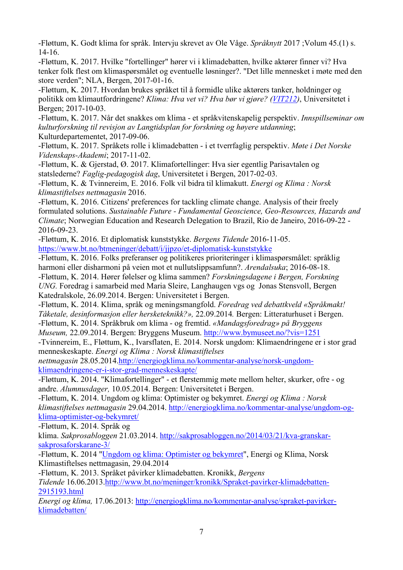-Fløttum, K. Godt klima for språk. Intervju skrevet av Ole Våge. Språknytt 2017 ;Volum 45.(1) s. 14-16.

-Fløttum, K. 2017. Hvilke "fortellinger" hører vi i klimadebatten, hvilke aktører finner vi? Hva tenker folk flest om klimaspørsmålet og eventuelle løsninger?. "Det lille mennesket i møte med den store verden"; NLA, Bergen, 2017-01-16.

-Fløttum, K. 2017. Hvordan brukes språket til å formidle ulike aktørers tanker, holdninger og politikk om klimautfordringene? Klima: Hva vet vi? Hva bør vi gjøre? (VIT212), Universitetet i Bergen; 2017-10-03.

-Fløttum, K. 2017. Når det snakkes om klima - et språkvitenskapelig perspektiv. Innspillseminar om kulturforskning til revisjon av Langtidsplan for forskning og høyere utdanning; Kulturdepartementet, 2017-09-06.

-Fløttum, K. 2017. Språkets rolle i klimadebatten - i et tverrfaglig perspektiv. Møte i Det Norske Videnskaps-Akademi; 2017-11-02.

-Fløttum, K. & Gjerstad, Ø. 2017. Klimafortellinger: Hva sier egentlig Parisavtalen og statslederne? Faglig-pedagogisk dag, Universitetet i Bergen, 2017-02-03.

-Fløttum, K. & Tvinnereim, E. 2016. Folk vil bidra til klimakutt. Energi og Klima : Norsk klimastiftelses nettmagasin 2016.

-Fløttum, K. 2016. Citizens' preferences for tackling climate change. Analysis of their freely formulated solutions. Sustainable Future - Fundamental Geoscience, Geo-Resources, Hazards and Climate; Norwegian Education and Research Delegation to Brazil, Rio de Janeiro, 2016-09-22 - 2016-09-23.

-Fløttum, K. 2016. Et diplomatisk kunststykke. Bergens Tidende 2016-11-05.

https://www.bt.no/btmeninger/debatt/i/jjpzo/et-diplomatisk-kunststykke

-Fløttum, K. 2016. Folks preferanser og politikeres prioriteringer i klimaspørsmålet: språklig harmoni eller disharmoni på veien mot et nullutslippsamfunn?. Arendalsuka; 2016-08-18. -Fløttum, K. 2014. Hører følelser og klima sammen? Forskningsdagene i Bergen, Forskning UNG. Foredrag i samarbeid med Maria Sleire, Langhaugen vgs og Jonas Stensvoll, Bergen Katedralskole, 26.09.2014. Bergen: Universitetet i Bergen.

-Fløttum, K. 2014. Klima, språk og meningsmangfold. Foredrag ved debattkveld «Språkmakt! Tåketale, desinformasjon eller hersketeknikk?», 22.09.2014. Bergen: Litteraturhuset i Bergen. -Fløttum, K. 2014. Språkbruk om klima - og fremtid. «Mandagsforedrag» på Bryggens

Museum, 22.09.2014. Bergen: Bryggens Museum. http://www.bymuseet.no/?vis=1251

-Tvinnereim, E., Fløttum, K., Ivarsflaten, E. 2014. Norsk ungdom: Klimaendringene er i stor grad menneskeskapte. Energi og Klima : Norsk klimastiftelses

nettmagasin 28.05.2014.http://energiogklima.no/kommentar-analyse/norsk-ungdomklimaendringene-er-i-stor-grad-menneskeskapte/

-Fløttum, K. 2014. "Klimafortellinger" - et flerstemmig møte mellom helter, skurker, ofre - og andre. Alumnusdager, 10.05.2014. Bergen: Universitetet i Bergen.

-Fløttum, K. 2014. Ungdom og klima: Optimister og bekymret. Energi og Klima : Norsk klimastiftelses nettmagasin 29.04.2014. http://energiogklima.no/kommentar-analyse/ungdom-ogklima-optimister-og-bekymret/

-Fløttum, K. 2014. Språk og

klima. Sakprosabloggen 21.03.2014. http://sakprosabloggen.no/2014/03/21/kva-granskarsakprosaforskarane-3/

-Fløttum, K. 2014 "Ungdom og klima: Optimister og bekymret", Energi og Klima, Norsk Klimastiftelses nettmagasin, 29.04.2014

-Fløttum, K. 2013. Språket påvirker klimadebatten. Kronikk, Bergens

Tidende 16.06.2013.http://www.bt.no/meninger/kronikk/Spraket-pavirker-klimadebatten-2915193.html

Energi og klima, 17.06.2013: http://energiogklima.no/kommentar-analyse/spraket-pavirkerklimadebatten/